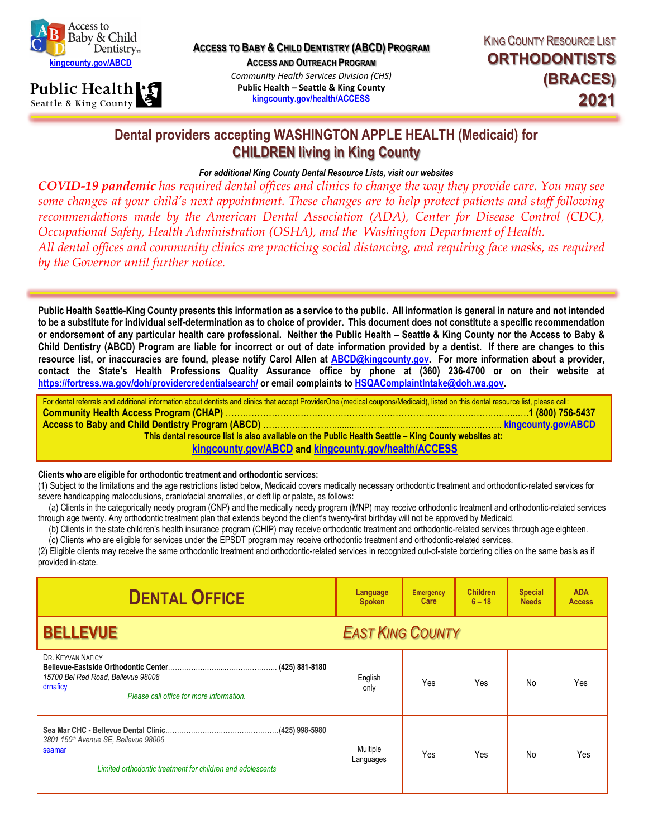



**ACCESS TO BABY & CHILD DENTISTRY (ABCD) PROGRAM**

**ACCESS AND OUTREACH PROGRAM**

*Community Health Services Division (CHS)* **Public Health – Seattle & King County [kingcounty.gov/health/ACCESS](http://www.kingcounty.gov/health/Access)**

## **Dental providers accepting WASHINGTON APPLE HEALTH (Medicaid) for CHILDREN living in King County**

## *For additional King County Dental Resource Lists, visit our websites*

*COVID-19 pandemic has required dental offices and clinics to change the way they provide care. You may see some changes at your child's next appointment. These changes are to help protect patients and staff following recommendations made by the American Dental Association (ADA), Center for Disease Control (CDC), Occupational Safety, Health Administration (OSHA), and the Washington Department of Health. All dental offices and community clinics are practicing social distancing, and requiring face masks, as required by the Governor until further notice.*

**Public Health Seattle-King County presents this information as a service to the public. All information is general in nature and not intended to be a substitute for individual self-determination as to choice of provider. This document does not constitute a specific recommendation or endorsement of any particular health care professional. Neither the Public Health – Seattle & King County nor the Access to Baby & Child Dentistry (ABCD) Program are liable for incorrect or out of date information provided by a dentist. If there are changes to this resource list, or inaccuracies are found, please notify Carol Allen at [ABCD@kingcounty.gov.](mailto:ABCD@kingcounty.gov) For more information about a provider, contact the State's Health Professions Quality Assurance office by phone at (360) 236-4700 or on their website a[t](http://www.doh.wa.gov/hsqa/) [https://fortress.wa.gov/doh/providercredentialsearch/](http://www.doh.wa.gov/hsqa/) or email complaints t[o HSQAComplaintIntake@doh.wa.gov.](mailto:HSQAComplaintIntake@doh.wa.gov)**

| For dental referrals and additional information about dentists and clinics that accept ProviderOne (medical coupons/Medicaid), listed on this dental resource list, please call: |  |  |  |  |  |
|----------------------------------------------------------------------------------------------------------------------------------------------------------------------------------|--|--|--|--|--|
|                                                                                                                                                                                  |  |  |  |  |  |
|                                                                                                                                                                                  |  |  |  |  |  |
| This dental resource list is also available on the Public Health Seattle - King County websites at:                                                                              |  |  |  |  |  |
| kingcounty.gov/ABCD and kingcounty.gov/health/ACCESS                                                                                                                             |  |  |  |  |  |

## **Clients who are eligible for orthodontic treatment and orthodontic services:**

(1) Subject to the limitations and the age restrictions listed below, Medicaid covers medically necessary orthodontic treatment and orthodontic-related services for severe handicapping malocclusions, craniofacial anomalies, or cleft lip or palate, as follows:

 (a) Clients in the categorically needy program (CNP) and the medically needy program (MNP) may receive orthodontic treatment and orthodontic-related services through age twenty. Any orthodontic treatment plan that extends beyond the client's twenty-first birthday will not be approved by Medicaid.

(b) Clients in the state children's health insurance program (CHIP) may receive orthodontic treatment and orthodontic-related services through age eighteen.

 (c) Clients who are eligible for services under the EPSDT program may receive orthodontic treatment and orthodontic-related services. (2) Eligible clients may receive the same orthodontic treatment and orthodontic-related services in recognized out-of-state bordering cities on the same basis as if provided in-state.

| <b>DENTAL OFFICE</b>                                                                                            | Language<br><b>Spoken</b> | <b>Emergency</b><br>Care | <b>Children</b><br>$6 - 18$ | <b>Special</b><br><b>Needs</b> | <b>ADA</b><br><b>Access</b> |
|-----------------------------------------------------------------------------------------------------------------|---------------------------|--------------------------|-----------------------------|--------------------------------|-----------------------------|
| <b>BELLEVUE</b>                                                                                                 | <b>EAST KING COUNTY</b>   |                          |                             |                                |                             |
| DR. KEYVAN NAFICY<br>15700 Bel Red Road, Bellevue 98008<br>drnaficy<br>Please call office for more information. | English<br>only           | Yes                      | Yes                         | No                             | Yes                         |
| 3801 150th Avenue SE, Bellevue 98006<br>seamar<br>Limited orthodontic treatment for children and adolescents    | Multiple<br>Languages     | Yes                      | Yes                         | No                             | Yes                         |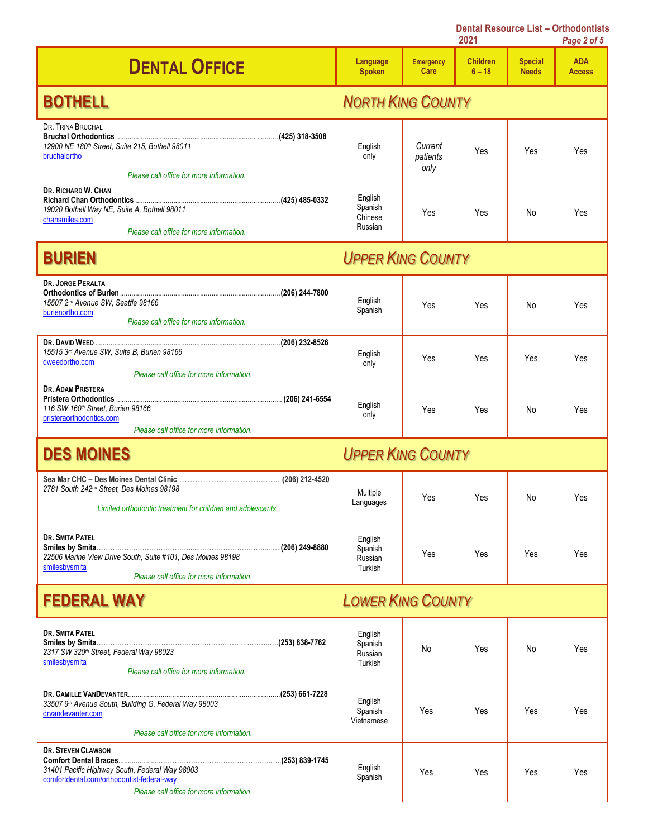|                                                                                                                                                                       |                                          |                             | 2021                        |                                | Page 2 of 5                 |
|-----------------------------------------------------------------------------------------------------------------------------------------------------------------------|------------------------------------------|-----------------------------|-----------------------------|--------------------------------|-----------------------------|
| <b>DENTAL OFFICE</b>                                                                                                                                                  | Language<br><b>Spoken</b>                | <b>Emergency</b><br>Care    | <b>Children</b><br>$6 - 18$ | <b>Special</b><br><b>Needs</b> | <b>ADA</b><br><b>Access</b> |
| <b>BOTHELL</b>                                                                                                                                                        |                                          | <b>NORTH KING COUNTY</b>    |                             |                                |                             |
| DR. TRINA BRUCHAL<br>12900 NE 180th Street, Suite 215, Bothell 98011<br>bruchalortho<br>Please call office for more information.                                      | English<br>only                          | Current<br>patients<br>only | Yes                         | Yes                            | Yes                         |
| DR. RICHARD W. CHAN<br>19020 Bothell Way NE, Suite A, Bothell 98011<br>chansmiles.com<br>Please call office for more information.                                     | English<br>Spanish<br>Chinese<br>Russian | Yes                         | Yes                         | No                             | Yes                         |
| <b>BURIEN</b>                                                                                                                                                         | <b>UPPER KING COUNTY</b>                 |                             |                             |                                |                             |
| <b>DR. JORGE PERALTA</b><br>15507 2nd Avenue SW, Seattle 98166<br>burienortho.com<br>Please call office for more information.                                         | English<br>Spanish                       | Yes                         | Yes                         | No                             | Yes                         |
| 15515 3rd Avenue SW, Suite B, Burien 98166<br>dweedortho.com<br>Please call office for more information.                                                              | English<br>only                          | Yes                         | Yes                         | Yes                            | Yes                         |
| <b>DR. ADAM PRISTERA</b><br>116 SW 160th Street, Burien 98166<br>pristeraorthodontics.com<br>Please call office for more information.                                 | English<br>only                          | Yes                         | Yes                         | No                             | Yes                         |
| <b>DES MOINES</b>                                                                                                                                                     | <b>UPPER KING COUNTY</b>                 |                             |                             |                                |                             |
| 2781 South 242 <sup>nd</sup> Street, Des Moines 98198<br>Limited orthodontic treatment for children and adolescents                                                   | Multiple<br>Languages                    | Yes                         | Yes                         | No                             | Yes                         |
| DR. SMITA PATEL<br>22506 Marine View Drive South, Suite #101, Des Moines 98198<br>smilesbysmita<br>Please call office for more information.                           | English<br>Spanish<br>Russian<br>Turkish | Yes                         | Yes                         | Yes                            | Yes                         |
| <b>FEDERAL WAY</b>                                                                                                                                                    | <b>LOWER KING COUNTY</b>                 |                             |                             |                                |                             |
| <b>DR. SMITA PATEL</b><br>2317 SW 320th Street, Federal Way 98023<br>smilesbysmita<br>Please call office for more information.                                        | English<br>Spanish<br>Russian<br>Turkish | No                          | Yes                         | No                             | Yes                         |
| 33507 9th Avenue South, Building G, Federal Way 98003<br>drvandevanter.com<br>Please call office for more information.                                                | English<br>Spanish<br>Vietnamese         | Yes                         | Yes                         | Yes                            | Yes                         |
| <b>DR. STEVEN CLAWSON</b><br>31401 Pacific Highway South, Federal Way 98003<br>comfortdental.com/orthodontist-federal-way<br>Please call office for more information. | English<br>Spanish                       | Yes                         | Yes                         | Yes                            | Yes                         |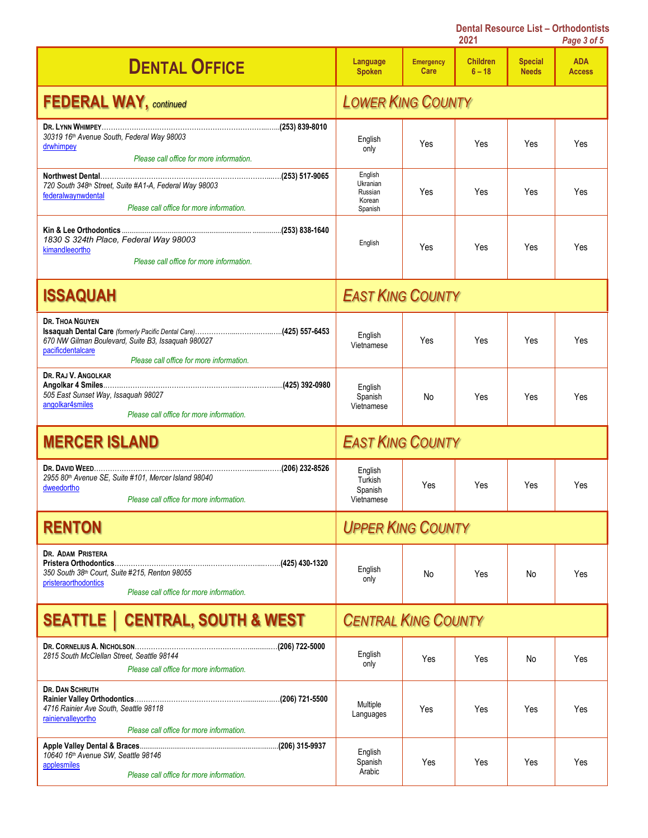|                                                                                                                                               |                                                     |                          | 2021                        |                                | Page 3 of 5                 |
|-----------------------------------------------------------------------------------------------------------------------------------------------|-----------------------------------------------------|--------------------------|-----------------------------|--------------------------------|-----------------------------|
| <b>DENTAL OFFICE</b>                                                                                                                          | Language<br><b>Spoken</b>                           | <b>Emergency</b><br>Care | <b>Children</b><br>$6 - 18$ | <b>Special</b><br><b>Needs</b> | <b>ADA</b><br><b>Access</b> |
| <b>FEDERAL WAY, continued</b>                                                                                                                 | <b>LOWER KING COUNTY</b>                            |                          |                             |                                |                             |
| 30319 16th Avenue South, Federal Way 98003<br>drwhimpey<br>Please call office for more information.                                           | English<br>only                                     | Yes                      | Yes                         | Yes                            | Yes                         |
| 720 South 348th Street, Suite #A1-A, Federal Way 98003<br>federalwaynwdental<br>Please call office for more information.                      | English<br>Ukranian<br>Russian<br>Korean<br>Spanish | Yes                      | Yes                         | Yes                            | Yes                         |
| 1830 S 324th Place, Federal Way 98003<br>kimandleeortho<br>Please call office for more information.                                           | English                                             | Yes                      | Yes                         | Yes                            | Yes                         |
| <b>ISSAQUAH</b>                                                                                                                               | <b>EAST KING COUNTY</b>                             |                          |                             |                                |                             |
| <b>DR. THOA NGUYEN</b><br>670 NW Gilman Boulevard, Suite B3, Issaguah 980027<br>pacificdentalcare<br>Please call office for more information. | English<br>Vietnamese                               | Yes                      | Yes                         | Yes                            | Yes                         |
| DR. RAJ V. ANGOLKAR<br>505 East Sunset Way, Issaquah 98027<br>angolkar4smiles<br>Please call office for more information.                     | English<br>Spanish<br>Vietnamese                    | No                       | Yes                         | Yes                            | Yes                         |
| <b>MERCER ISLAND</b>                                                                                                                          | <b>EAST KING COUNTY</b>                             |                          |                             |                                |                             |
| 2955 80th Avenue SE, Suite #101, Mercer Island 98040<br>dweedortho<br>Please call office for more information.                                | English<br>Turkish<br>Spanish<br>Vietnamese         | Yes                      | Yes                         | Yes                            | Yes                         |
| <b>RENTON</b>                                                                                                                                 | <b>UPPER KING COUNTY</b>                            |                          |                             |                                |                             |
| DR. ADAM PRISTERA<br>350 South 38th Court, Suite #215, Renton 98055<br>pristeraorthodontics<br>Please call office for more information        | English<br>only                                     | No                       | Yes                         | No                             | Yes                         |
| <b>SEATTLE   CENTRAL, SOUTH &amp; WEST</b>                                                                                                    | <b>CENTRAL KING COUNTY</b>                          |                          |                             |                                |                             |
| 2815 South McClellan Street. Seattle 98144<br>Please call office for more information.                                                        | English<br>only                                     | Yes                      | Yes                         | No                             | Yes                         |
| <b>DR. DAN SCHRUTH</b><br>4716 Rainier Ave South, Seattle 98118<br>rainiervalleyortho<br>Please call office for more information.             | Multiple<br>Languages                               | Yes                      | Yes                         | Yes                            | Yes                         |
| 10640 16th Avenue SW, Seattle 98146<br>applesmiles<br>Please call office for more information.                                                | English<br>Spanish<br>Arabic                        | Yes                      | Yes                         | Yes                            | Yes                         |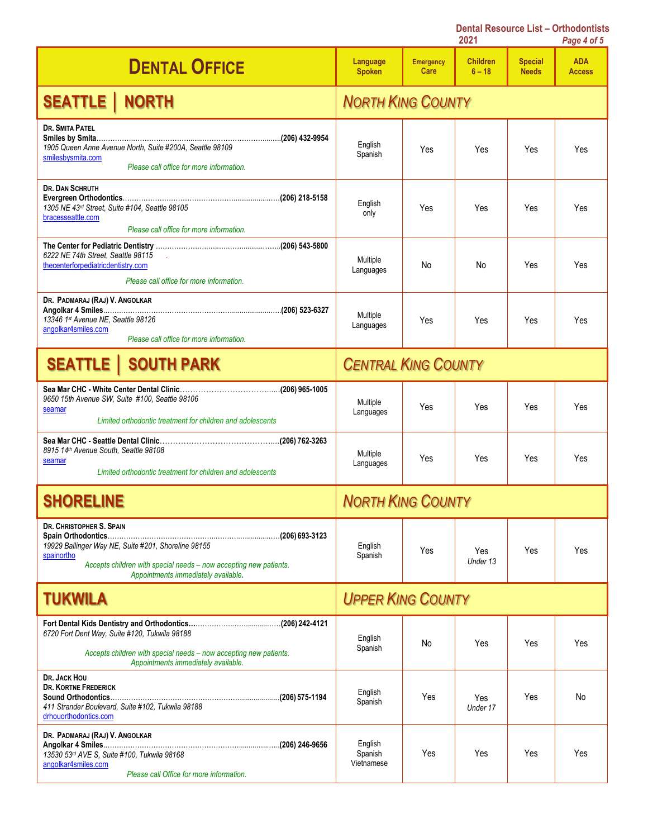|                                                                                                                                                                                                           | <b>Dental Resource List - Orthodontists</b><br>2021 |                          |                             |                                | Page 4 of 5                 |
|-----------------------------------------------------------------------------------------------------------------------------------------------------------------------------------------------------------|-----------------------------------------------------|--------------------------|-----------------------------|--------------------------------|-----------------------------|
| <b>DENTAL OFFICE</b>                                                                                                                                                                                      | Language<br><b>Spoken</b>                           | <b>Emergency</b><br>Care | <b>Children</b><br>$6 - 18$ | <b>Special</b><br><b>Needs</b> | <b>ADA</b><br><b>Access</b> |
| <b>SEATTLE   NORTH</b>                                                                                                                                                                                    |                                                     | <b>NORTH KING COUNTY</b> |                             |                                |                             |
| <b>DR. SMITA PATEL</b><br>1905 Queen Anne Avenue North, Suite #200A, Seattle 98109<br>smilesbysmita.com<br>Please call office for more information.                                                       | English<br>Spanish                                  | Yes                      | Yes                         | Yes                            | Yes                         |
| <b>DR. DAN SCHRUTH</b><br>1305 NE 43rd Street, Suite #104, Seattle 98105<br>bracesseattle.com<br>Please call office for more information.                                                                 | English<br>only                                     | Yes                      | Yes                         | Yes                            | Yes                         |
| 6222 NE 74th Street, Seattle 98115<br>$\sim$<br>thecenterforpediatricdentistry.com<br>Please call office for more information.                                                                            | Multiple<br>Languages                               | No                       | No                          | Yes                            | Yes                         |
| DR. PADMARAJ (RAJ) V. ANGOLKAR<br>13346 1st Avenue NE, Seattle 98126<br>angolkar4smiles.com<br>Please call office for more information.                                                                   | Multiple<br>Languages                               | Yes                      | Yes                         | Yes                            | Yes                         |
| <b>SEATTLE   SOUTH PARK</b>                                                                                                                                                                               | <b>CENTRAL KING COUNTY</b>                          |                          |                             |                                |                             |
| 9650 15th Avenue SW, Suite #100, Seattle 98106<br>seamar<br>Limited orthodontic treatment for children and adolescents                                                                                    | Multiple<br>Languages                               | Yes                      | Yes                         | Yes                            | Yes                         |
| 8915 14th Avenue South, Seattle 98108<br>seamar<br>Limited orthodontic treatment for children and adolescents                                                                                             | Multiple<br>Languages                               | Yes                      | Yes                         | Yes                            | Yes                         |
| <b>SHORELINE</b>                                                                                                                                                                                          | <b>NORTH KING COUNTY</b>                            |                          |                             |                                |                             |
| DR. CHRISTOPHER S. SPAIN<br>19929 Ballinger Way NE, Suite #201, Shoreline 98155<br>spainortho<br>Accepts children with special needs - now accepting new patients.<br>Appointments immediately available. | English<br>Spanish                                  | Yes                      | Yes<br>Under 13             | Yes                            | Yes                         |
| <b>TUKWILA</b>                                                                                                                                                                                            | <b>UPPER KING COUNTY</b>                            |                          |                             |                                |                             |
| 6720 Fort Dent Way, Suite #120, Tukwila 98188<br>Accepts children with special needs - now accepting new patients.<br>Appointments immediately available.                                                 | English<br>Spanish                                  | No                       | Yes                         | Yes                            | Yes                         |
| DR. JACK HOU<br><b>DR. KORTNE FREDERICK</b><br>411 Strander Boulevard, Suite #102, Tukwila 98188<br>drhouorthodontics.com                                                                                 | English<br>Spanish                                  | Yes                      | Yes<br>Under 17             | Yes                            | No                          |
| DR. PADMARAJ (RAJ) V. ANGOLKAR<br>13530 53rd AVE S, Suite #100, Tukwila 98168<br>angolkar4smiles.com<br>Please call Office for more information.                                                          | English<br>Spanish<br>Vietnamese                    | Yes                      | Yes                         | Yes                            | Yes                         |